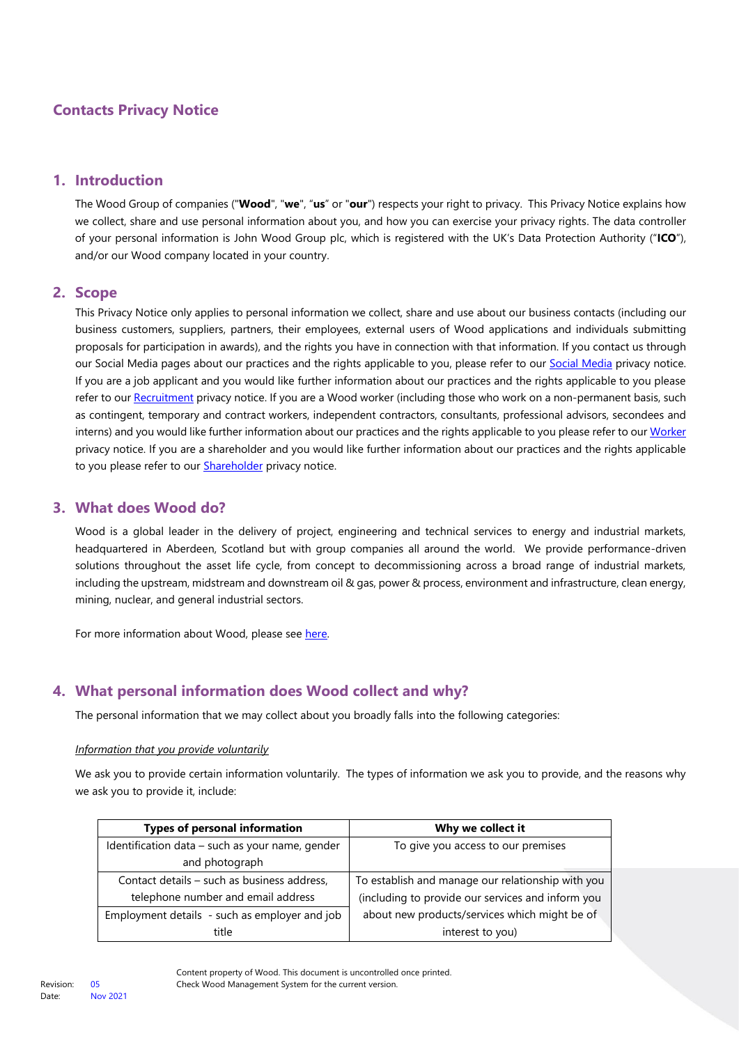# **Contacts Privacy Notice**

## **1. Introduction**

The Wood Group of companies ("**Wood**", "**we**", "**us**" or "**our**") respects your right to privacy. This Privacy Notice explains how we collect, share and use personal information about you, and how you can exercise your privacy rights. The data controller of your personal information is John Wood Group plc, which is registered with the UK's Data Protection Authority ("**ICO**"), and/or our Wood company located in your country.

## **2. Scope**

This Privacy Notice only applies to personal information we collect, share and use about our business contacts (including our business customers, suppliers, partners, their employees, external users of Wood applications and individuals submitting proposals for participation in awards), and the rights you have in connection with that information. If you contact us through ou[r Social Media](https://www.woodplc.com/footer/your-privacy-and-accessibility/social-media) pages about our practices and the rights applicable to you, please refer to our Social Media privacy notice. If you are a job applicant and you would like further information about our practices and the rights applicable to you please refer to our [Recruitment](https://careers.woodplc.com/__data/assets/pdf_file/0021/67404/Wood-Recruitment-Privacy-Notice.pdf) privacy notice. If you are a Wood worker (including those who work on a non-permanent basis, such as contingent, temporary and contract workers, independent contractors, consultants, professional advisors, secondees and interns) and you would like further information about our practices and the rights applicable to you please refer to ou[r Worker](https://www.woodplc.com/__data/assets/pdf_file/0031/135589/Wood_Worker_Privacy_Notice.pdf) privacy notice. If you are a shareholder and you would like further information about our practices and the rights applicable to you please refer to our **Shareholder** privacy notice.

### **3. What does Wood do?**

Wood is a global leader in the delivery of project, engineering and technical services to energy and industrial markets, headquartered in Aberdeen, Scotland but with group companies all around the world. We provide performance-driven solutions throughout the asset life cycle, from concept to decommissioning across a broad range of industrial markets, including the upstream, midstream and downstream oil & gas, power & process, environment and infrastructure, clean energy, mining, nuclear, and general industrial sectors.

For more information about Wood, please see [here.](https://www.woodplc.com/company/our-business)

## **4. What personal information does Wood collect and why?**

The personal information that we may collect about you broadly falls into the following categories:

#### *Information that you provide voluntarily*

We ask you to provide certain information voluntarily. The types of information we ask you to provide, and the reasons why we ask you to provide it, include:

| <b>Types of personal information</b>            | Why we collect it                                 |
|-------------------------------------------------|---------------------------------------------------|
| Identification data - such as your name, gender | To give you access to our premises                |
| and photograph                                  |                                                   |
| Contact details - such as business address,     | To establish and manage our relationship with you |
| telephone number and email address              | (including to provide our services and inform you |
| Employment details - such as employer and job   | about new products/services which might be of     |
| title                                           | interest to you)                                  |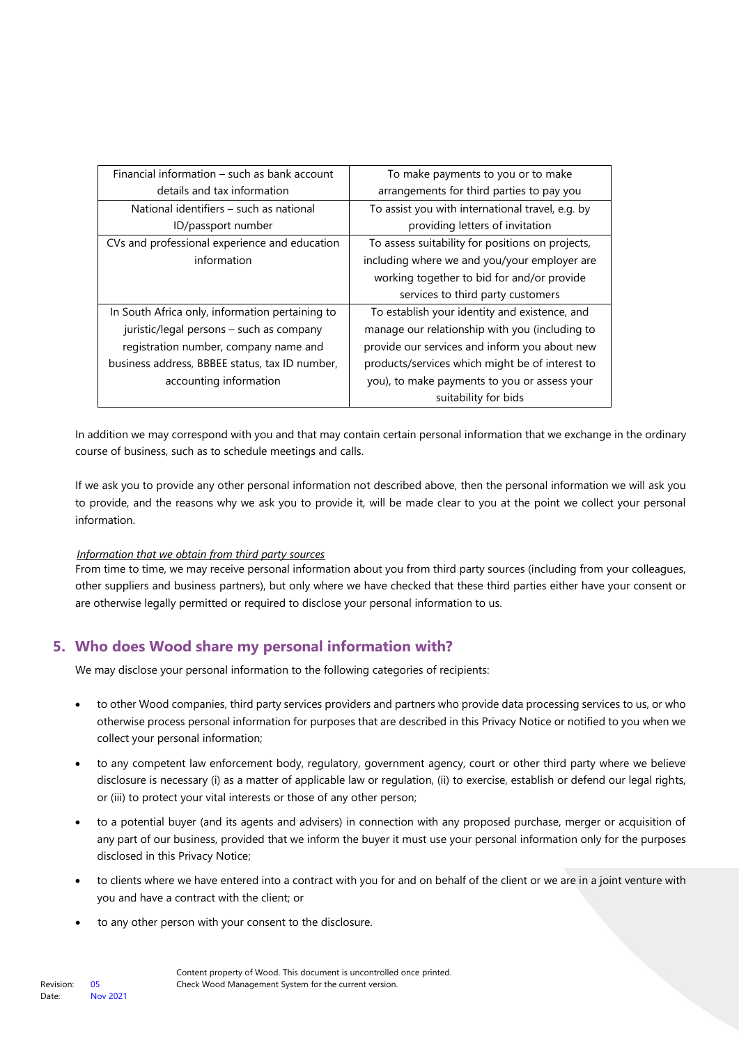| Financial information – such as bank account    | To make payments to you or to make               |
|-------------------------------------------------|--------------------------------------------------|
| details and tax information                     | arrangements for third parties to pay you        |
| National identifiers – such as national         | To assist you with international travel, e.g. by |
| ID/passport number                              | providing letters of invitation                  |
| CVs and professional experience and education   | To assess suitability for positions on projects, |
| information                                     | including where we and you/your employer are     |
|                                                 | working together to bid for and/or provide       |
|                                                 | services to third party customers                |
| In South Africa only, information pertaining to | To establish your identity and existence, and    |
| juristic/legal persons - such as company        | manage our relationship with you (including to   |
| registration number, company name and           | provide our services and inform you about new    |
| business address, BBBEE status, tax ID number,  | products/services which might be of interest to  |
| accounting information                          | you), to make payments to you or assess your     |
|                                                 | suitability for bids                             |

In addition we may correspond with you and that may contain certain personal information that we exchange in the ordinary course of business, such as to schedule meetings and calls.

If we ask you to provide any other personal information not described above, then the personal information we will ask you to provide, and the reasons why we ask you to provide it, will be made clear to you at the point we collect your personal information.

#### *Information that we obtain from third party sources*

From time to time, we may receive personal information about you from third party sources (including from your colleagues, other suppliers and business partners), but only where we have checked that these third parties either have your consent or are otherwise legally permitted or required to disclose your personal information to us.

## **5. Who does Wood share my personal information with?**

We may disclose your personal information to the following categories of recipients:

- to other Wood companies, third party services providers and partners who provide data processing services to us, or who otherwise process personal information for purposes that are described in this Privacy Notice or notified to you when we collect your personal information;
- to any competent law enforcement body, regulatory, government agency, court or other third party where we believe disclosure is necessary (i) as a matter of applicable law or regulation, (ii) to exercise, establish or defend our legal rights, or (iii) to protect your vital interests or those of any other person;
- to a potential buyer (and its agents and advisers) in connection with any proposed purchase, merger or acquisition of any part of our business, provided that we inform the buyer it must use your personal information only for the purposes disclosed in this Privacy Notice;
- to clients where we have entered into a contract with you for and on behalf of the client or we are in a joint venture with you and have a contract with the client; or
- to any other person with your consent to the disclosure.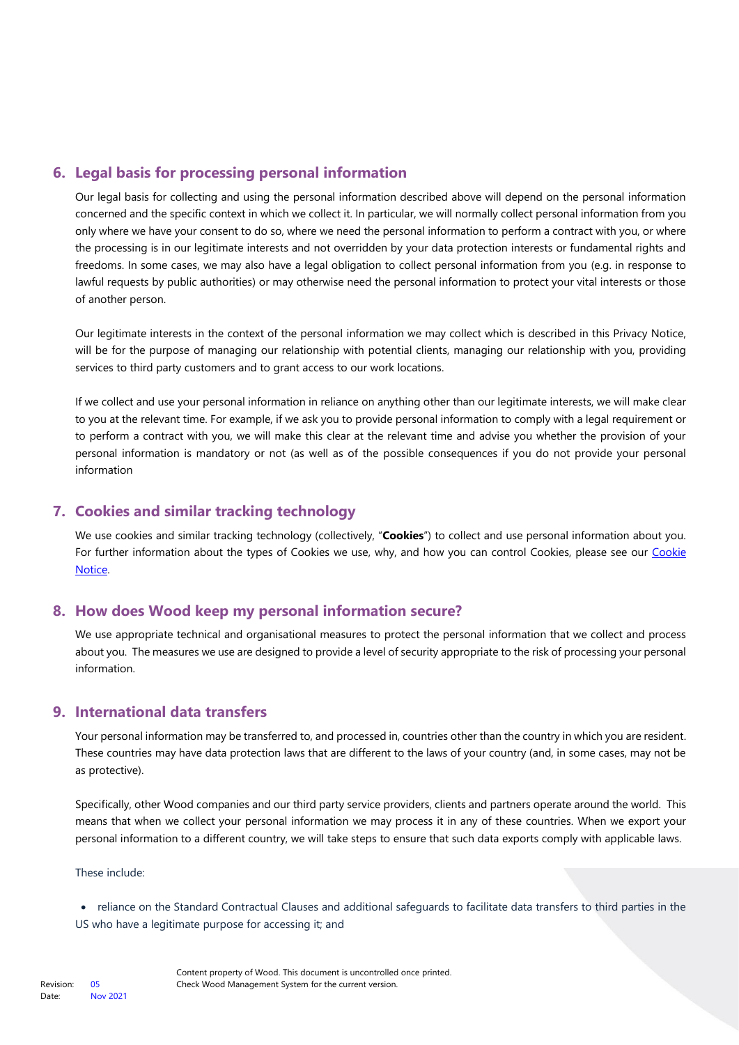# **6. Legal basis for processing personal information**

Our legal basis for collecting and using the personal information described above will depend on the personal information concerned and the specific context in which we collect it. In particular, we will normally collect personal information from you only where we have your consent to do so, where we need the personal information to perform a contract with you, or where the processing is in our legitimate interests and not overridden by your data protection interests or fundamental rights and freedoms. In some cases, we may also have a legal obligation to collect personal information from you (e.g. in response to lawful requests by public authorities) or may otherwise need the personal information to protect your vital interests or those of another person.

Our legitimate interests in the context of the personal information we may collect which is described in this Privacy Notice, will be for the purpose of managing our relationship with potential clients, managing our relationship with you, providing services to third party customers and to grant access to our work locations.

If we collect and use your personal information in reliance on anything other than our legitimate interests, we will make clear to you at the relevant time. For example, if we ask you to provide personal information to comply with a legal requirement or to perform a contract with you, we will make this clear at the relevant time and advise you whether the provision of your personal information is mandatory or not (as well as of the possible consequences if you do not provide your personal information

## **7. Cookies and similar tracking technology**

We use cookies and similar tracking technology (collectively, "**Cookies**") to collect and use personal information about you. For further information about the types of Cookies we use, why, and how you can control Cookies, please see our Cookie [Notice.](https://www.woodplc.com/policies-and-notices/cookies) 

## **8. How does Wood keep my personal information secure?**

We use appropriate technical and organisational measures to protect the personal information that we collect and process about you. The measures we use are designed to provide a level of security appropriate to the risk of processing your personal information.

## **9. International data transfers**

Your personal information may be transferred to, and processed in, countries other than the country in which you are resident. These countries may have data protection laws that are different to the laws of your country (and, in some cases, may not be as protective).

Specifically, other Wood companies and our third party service providers, clients and partners operate around the world. This means that when we collect your personal information we may process it in any of these countries. When we export your personal information to a different country, we will take steps to ensure that such data exports comply with applicable laws.

These include:

• reliance on the Standard Contractual Clauses and additional safeguards to facilitate data transfers to third parties in the US who have a legitimate purpose for accessing it; and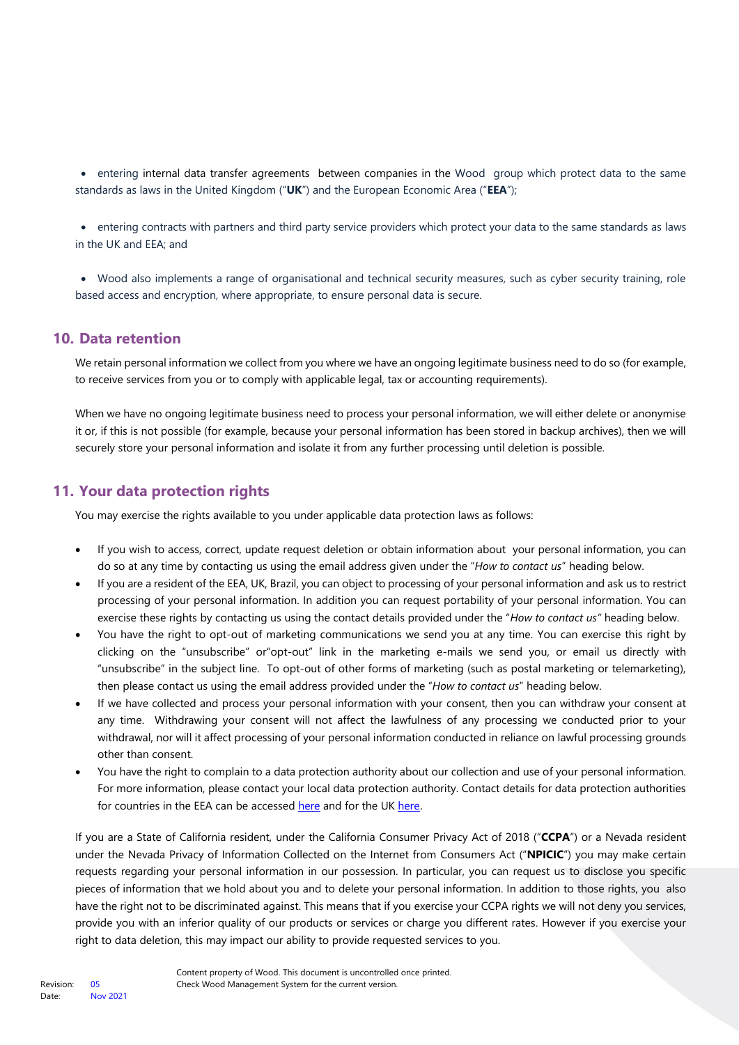• entering internal data transfer agreements between companies in the Wood group which protect data to the same standards as laws in the United Kingdom ("**UK**") and the European Economic Area ("**EEA**");

• entering contracts with partners and third party service providers which protect your data to the same standards as laws in the UK and EEA; and

• Wood also implements a range of organisational and technical security measures, such as cyber security training, role based access and encryption, where appropriate, to ensure personal data is secure.

## **10. Data retention**

We retain personal information we collect from you where we have an ongoing legitimate business need to do so (for example, to receive services from you or to comply with applicable legal, tax or accounting requirements).

When we have no ongoing legitimate business need to process your personal information, we will either delete or anonymise it or, if this is not possible (for example, because your personal information has been stored in backup archives), then we will securely store your personal information and isolate it from any further processing until deletion is possible.

## **11. Your data protection rights**

You may exercise the rights available to you under applicable data protection laws as follows:

- If you wish to access, correct, update request deletion or obtain information about your personal information, you can do so at any time by contacting us using the email address given under the "*How to contact us*" heading below.
- If you are a resident of the EEA, UK, Brazil, you can object to processing of your personal information and ask us to restrict processing of your personal information. In addition you can request portability of your personal information. You can exercise these rights by contacting us using the contact details provided under the "*How to contact us"* heading below.
- You have the right to opt-out of marketing communications we send you at any time. You can exercise this right by clicking on the "unsubscribe" or"opt-out" link in the marketing e-mails we send you, or email us directly with "unsubscribe" in the subject line. To opt-out of other forms of marketing (such as postal marketing or telemarketing), then please contact us using the email address provided under the "*How to contact us*" heading below.
- If we have collected and process your personal information with your consent, then you can withdraw your consent at any time. Withdrawing your consent will not affect the lawfulness of any processing we conducted prior to your withdrawal, nor will it affect processing of your personal information conducted in reliance on lawful processing grounds other than consent.
- You have the right to complain to a data protection authority about our collection and use of your personal information. For more information, please contact your local data protection authority. Contact details for data protection authorities for countries in the EEA can be accessed [here](https://edpb.europa.eu/about-edpb/board/members_en) and for the U[K here](https://ico.org.uk/).

If you are a State of California resident, under the California Consumer Privacy Act of 2018 ("**CCPA**") or a Nevada resident under the Nevada Privacy of Information Collected on the Internet from Consumers Act ("**NPICIC**") you may make certain requests regarding your personal information in our possession. In particular, you can request us to disclose you specific pieces of information that we hold about you and to delete your personal information. In addition to those rights, you also have the right not to be discriminated against. This means that if you exercise your CCPA rights we will not deny you services, provide you with an inferior quality of our products or services or charge you different rates. However if you exercise your right to data deletion, this may impact our ability to provide requested services to you.